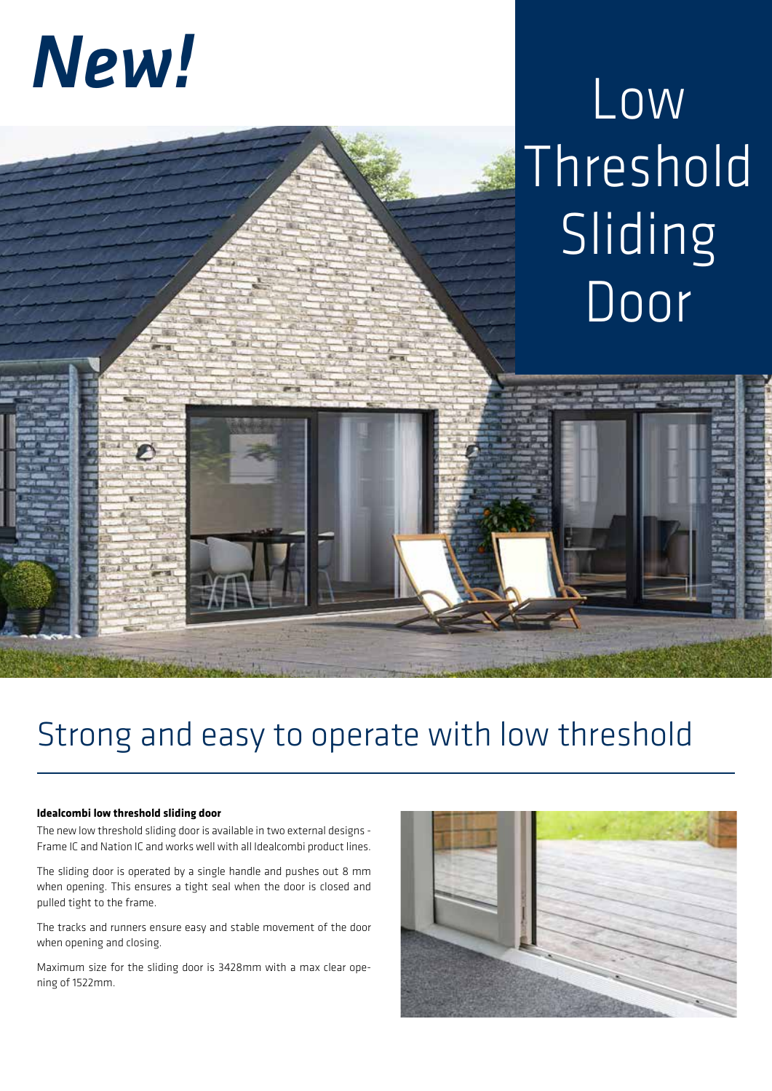# *New!*

## Low Threshold Sliding Door

### Strong and easy to operate with low threshold

#### **Idealcombi low threshold sliding door**

The new low threshold sliding door is available in two external designs - Frame IC and Nation IC and works well with all Idealcombi product lines.

The sliding door is operated by a single handle and pushes out 8 mm when opening. This ensures a tight seal when the door is closed and pulled tight to the frame.

The tracks and runners ensure easy and stable movement of the door when opening and closing.

Maximum size for the sliding door is 3428mm with a max clear opening of 1522mm.